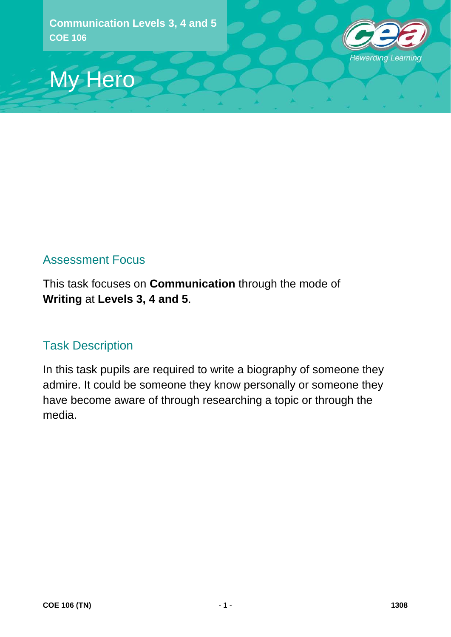



### Assessment Focus

This task focuses on **Communication** through the mode of **Writing** at **Levels 3, 4 and 5**.

### Task Description

In this task pupils are required to write a biography of someone they admire. It could be someone they know personally or someone they have become aware of through researching a topic or through the media.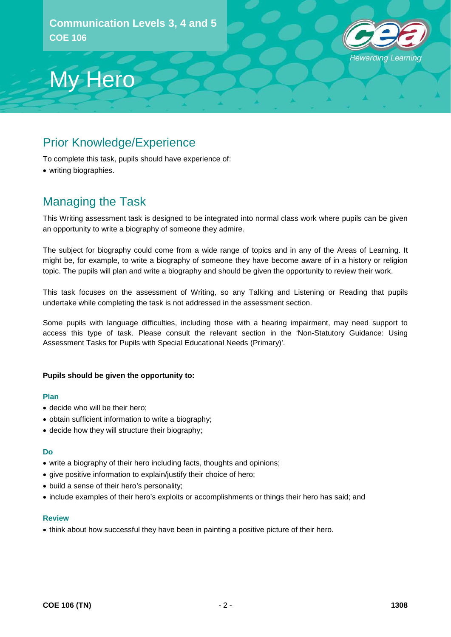

## Prior Knowledge/Experience

To complete this task, pupils should have experience of:

• writing biographies.

### Managing the Task

My Hero

This Writing assessment task is designed to be integrated into normal class work where pupils can be given an opportunity to write a biography of someone they admire.

The subject for biography could come from a wide range of topics and in any of the Areas of Learning. It might be, for example, to write a biography of someone they have become aware of in a history or religion topic. The pupils will plan and write a biography and should be given the opportunity to review their work.

This task focuses on the assessment of Writing, so any Talking and Listening or Reading that pupils undertake while completing the task is not addressed in the assessment section.

Some pupils with language difficulties, including those with a hearing impairment, may need support to access this type of task. Please consult the relevant section in the 'Non-Statutory Guidance: Using Assessment Tasks for Pupils with Special Educational Needs (Primary)'.

### **Pupils should be given the opportunity to:**

#### **Plan**

- decide who will be their hero;
- obtain sufficient information to write a biography;
- decide how they will structure their biography;

#### **Do**

- write a biography of their hero including facts, thoughts and opinions;
- give positive information to explain/justify their choice of hero;
- build a sense of their hero's personality;
- include examples of their hero's exploits or accomplishments or things their hero has said; and

#### **Review**

• think about how successful they have been in painting a positive picture of their hero.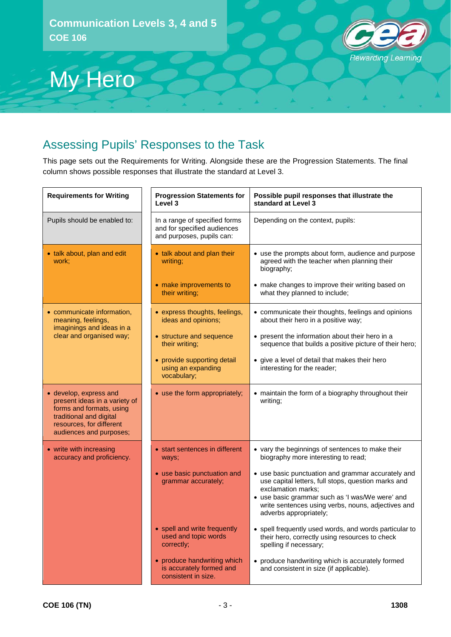

## My Hero

### Assessing Pupils' Responses to the Task

This page sets out the Requirements for Writing. Alongside these are the Progression Statements. The final column shows possible responses that illustrate the standard at Level 3.

| <b>Requirements for Writing</b>                                                                                                                                       | <b>Progression Statements for</b><br>Level 3                                              | Possible pupil responses that illustrate the<br>standard at Level 3                                                                                                                                                                                                |
|-----------------------------------------------------------------------------------------------------------------------------------------------------------------------|-------------------------------------------------------------------------------------------|--------------------------------------------------------------------------------------------------------------------------------------------------------------------------------------------------------------------------------------------------------------------|
| Pupils should be enabled to:                                                                                                                                          | In a range of specified forms<br>and for specified audiences<br>and purposes, pupils can: | Depending on the context, pupils:                                                                                                                                                                                                                                  |
| • talk about, plan and edit<br>work:                                                                                                                                  | • talk about and plan their<br>writing:                                                   | • use the prompts about form, audience and purpose<br>agreed with the teacher when planning their<br>biography;                                                                                                                                                    |
|                                                                                                                                                                       | • make improvements to<br>their writing;                                                  | • make changes to improve their writing based on<br>what they planned to include;                                                                                                                                                                                  |
| • communicate information,<br>meaning, feelings,<br>imaginings and ideas in a<br>clear and organised way;                                                             | • express thoughts, feelings,<br>ideas and opinions;                                      | • communicate their thoughts, feelings and opinions<br>about their hero in a positive way;                                                                                                                                                                         |
|                                                                                                                                                                       | • structure and sequence<br>their writing;                                                | • present the information about their hero in a<br>sequence that builds a positive picture of their hero;                                                                                                                                                          |
|                                                                                                                                                                       | • provide supporting detail<br>using an expanding<br>vocabulary;                          | • give a level of detail that makes their hero<br>interesting for the reader;                                                                                                                                                                                      |
| • develop, express and<br>present ideas in a variety of<br>forms and formats, using<br>traditional and digital<br>resources, for different<br>audiences and purposes; | • use the form appropriately;                                                             | • maintain the form of a biography throughout their<br>writing;                                                                                                                                                                                                    |
| • write with increasing<br>accuracy and proficiency.                                                                                                                  | • start sentences in different<br>ways;                                                   | • vary the beginnings of sentences to make their<br>biography more interesting to read;                                                                                                                                                                            |
|                                                                                                                                                                       | • use basic punctuation and<br>grammar accurately;                                        | • use basic punctuation and grammar accurately and<br>use capital letters, full stops, question marks and<br>exclamation marks;<br>• use basic grammar such as 'I was/We were' and<br>write sentences using verbs, nouns, adjectives and<br>adverbs appropriately; |
|                                                                                                                                                                       | • spell and write frequently<br>used and topic words<br>correctly;                        | • spell frequently used words, and words particular to<br>their hero, correctly using resources to check<br>spelling if necessary;                                                                                                                                 |
|                                                                                                                                                                       | • produce handwriting which<br>is accurately formed and<br>consistent in size.            | • produce handwriting which is accurately formed<br>and consistent in size (if applicable).                                                                                                                                                                        |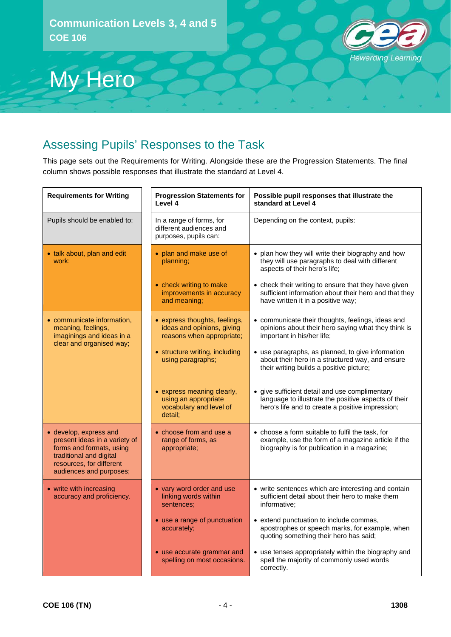# **Rewarding Learning**

# My Hero

### Assessing Pupils' Responses to the Task

This page sets out the Requirements for Writing. Alongside these are the Progression Statements. The final column shows possible responses that illustrate the standard at Level 4.

| <b>Requirements for Writing</b>                                                                                                                                       | <b>Progression Statements for</b><br>Level 4                                             | Possible pupil responses that illustrate the<br>standard at Level 4                                                                                        |
|-----------------------------------------------------------------------------------------------------------------------------------------------------------------------|------------------------------------------------------------------------------------------|------------------------------------------------------------------------------------------------------------------------------------------------------------|
| Pupils should be enabled to:                                                                                                                                          | In a range of forms, for<br>different audiences and<br>purposes, pupils can:             | Depending on the context, pupils:                                                                                                                          |
| • talk about, plan and edit<br>work:                                                                                                                                  | • plan and make use of<br>planning;                                                      | • plan how they will write their biography and how<br>they will use paragraphs to deal with different<br>aspects of their hero's life;                     |
|                                                                                                                                                                       | • check writing to make<br>improvements in accuracy<br>and meaning;                      | • check their writing to ensure that they have given<br>sufficient information about their hero and that they<br>have written it in a positive way;        |
| • communicate information,<br>meaning, feelings,<br>imaginings and ideas in a<br>clear and organised way;                                                             | • express thoughts, feelings,<br>ideas and opinions, giving<br>reasons when appropriate; | • communicate their thoughts, feelings, ideas and<br>opinions about their hero saying what they think is<br>important in his/her life;                     |
|                                                                                                                                                                       | • structure writing, including<br>using paragraphs;                                      | • use paragraphs, as planned, to give information<br>about their hero in a structured way, and ensure<br>their writing builds a positive picture;          |
|                                                                                                                                                                       | • express meaning clearly,<br>using an appropriate<br>vocabulary and level of<br>detail: | • give sufficient detail and use complimentary<br>language to illustrate the positive aspects of their<br>hero's life and to create a positive impression; |
| • develop, express and<br>present ideas in a variety of<br>forms and formats, using<br>traditional and digital<br>resources, for different<br>audiences and purposes; | $\bullet$ choose from and use a<br>range of forms, as<br>appropriate;                    | • choose a form suitable to fulfil the task, for<br>example, use the form of a magazine article if the<br>biography is for publication in a magazine;      |
| • write with increasing<br>accuracy and proficiency.                                                                                                                  | • vary word order and use<br>linking words within<br>sentences:                          | • write sentences which are interesting and contain<br>sufficient detail about their hero to make them<br>informative;                                     |
|                                                                                                                                                                       | • use a range of punctuation<br>accurately;                                              | • extend punctuation to include commas,<br>apostrophes or speech marks, for example, when<br>quoting something their hero has said;                        |
|                                                                                                                                                                       | • use accurate grammar and<br>spelling on most occasions.                                | • use tenses appropriately within the biography and<br>spell the majority of commonly used words<br>correctly.                                             |